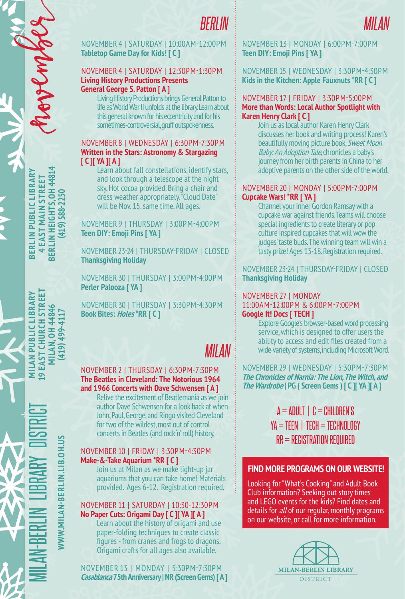

NOVEMBER 4 | SATURDAY | 10:00AM-12:00PM **Tabletop Game Day for Kids! [ C ]**

#### NOVEMBER 4 | SATURDAY | 12:30PM-1:30PM **Living History Productions Presents General George S. Patton [ A ]**

Living History Productions brings General Patton to life as World War II unfolds at the library. Learn about this general known for his eccentricity and for his sometimes-controversial, gruff outspokenness.

#### NOVEMBER 8 | WEDNESDAY | 6:30PM-7:30PM **Written in the Stars: Astronomy & Stargazing [ C ][ YA ][ A ]**

Learn about fall constellations, identify stars, and look through a telescope at the night sky. Hot cocoa provided. Bring a chair and dress weather appropriately. "Cloud Date" will be Nov. 15, same time. All ages.

NOVEMBER 9 | THURSDAY | 3:00PM-4:00PM **Teen DIY: Emoji Pins [ YA ]**

NOVEMBER 23-24 | THURSDAY-FRIDAY | CLOSED **Thanksgiving Holiday**

NOVEMBER 30 | THURSDAY | 3:00PM-4:00PM **Perler Palooza [ YA ]**

NOVEMBER 30 | THURSDAY | 3:30PM-4:30PM **Book Bites: Holes \*RR [ C ]**

# *MILAN*

#### NOVEMBER 2 | THURSDAY | 6:30PM-7:30PM **The Beatles in Cleveland: The Notorious 1964 and 1966 Concerts with Dave Schwensen [ A ]**

Relive the excitement of Beatlemania as we join author Dave Schwensen for a look back at when John, Paul, George, and Ringo visited Cleveland for two of the wildest, most out of control concerts in Beatles (and rock 'n' roll) history.

#### NOVEMBER 10 | FRIDAY | 3:30PM-4:30PM **Make-&-Take Aquarium \*RR [ C ]**

Join us at Milan as we make light-up jar aquariums that you can take home! Materials provided. Ages 6-12. Registration required.

#### NOVEMBER 11 | SATURDAY | 10:30-12:30PM **No Paper Cuts: Origami Day [ C ][ YA ][ A ]**

Learn about the history of origami and use paper-folding techniques to create classic figures - from cranes and frogs to dragons. Origami crafts for all ages also available.

NOVEMBER 13 | MONDAY | 5:30PM-7:30PM **Casablanca 75th Anniversary | NR (Screen Gems) [ A ]** NOVEMBER 13 | MONDAY | 6:00PM-7:00PM **Teen DIY: Emoji Pins [ YA ]**

#### NOVEMBER 15 | WEDNESDAY | 3:30PM-4:30PM **Kids in the Kitchen: Apple Fauxnuts \*RR [ C ]**

#### NOVEMBER 17 | FRIDAY | 3:30PM-5:00PM **More than Words: Local Author Spotlight with Karen Henry Clark [ C ]**

Join us as local author Karen Henry Clark discusses her book and writing process! Karen's beautifully moving picture book, Sweet Moon Baby: An Adoption Tale, chronicles a baby's journey from her birth parents in China to her adoptive parents on the other side of the world.

#### NOVEMBER 20 | MONDAY | 5:00PM-7:00PM **Cupcake Wars! \*RR [ YA ]**

Channel your inner Gordon Ramsay with a cupcake war against friends. Teams will choose special ingredients to create literary or pop culture inspired cupcakes that will wow the judges' taste buds. The winning team will win a tasty prize! Ages 13-18. Registration required.

NOVEMBER 23-24 | THURSDAY-FRIDAY | CLOSED **Thanksgiving Holiday**

### NOVEMBER 27 | MONDAY

11:00AM-12:00PM & 6:00PM-7:00PM **Google It! Docs [ TECH ]**

Explore Google's browser-based word processing service, which is designed to offer users the ability to access and edit files created from a wide variety of systems, including Microsoft Word.

NOVEMBER 29 | WEDNESDAY | 5:30PM-7:30PM **The Chronicles of Narnia: The Lion, The Witch, and The Wardrobe | PG ( Screen Gems ) [ C ][ YA ][ A ]**

### $A = ADULT \perp C = CHILDEREN'S$  $YA = TEEN$  |  $TECH = TECHNOLOGY$ RR = REGISTRATION REQUIRED

### **FIND MORE PROGRAMS ON OUR WEBSITE!**

Looking for "What's Cooking" and Adult Book Club information? Seeking out story times and LEGO events for the kids? Find dates and details for *all* of our regular, monthly programs on our website, or call for more information.



**BERLIN HEIGHTS, OH 44814 BERLIN PUBLIC LIBRARY BERLIN HEIGHTS, 0H 4481**<br>(419) 588-2250 BERLIN PUBLIC LIBRAR **4 EAST MAIN STREET** EAST MAIN STREET **(419) 588-2250**

november

**WWW.MILAN-BERLIN.LIB.OH.US** WWW.MILAN-BERLIN.LIB.OH.US

**(419) 499-4117**

**MILAN PUBLIC LIBRARY** EAST CHURCH STREET **MILAN.OH 4484** 419 499-411

 $\overline{\bullet}$ 

MILAN-BERLIN LIBRARY DISTRICT **MILAN PUBLIC LIBRARY 19 EAST CHURCH STREET MILAN, OH 44846**